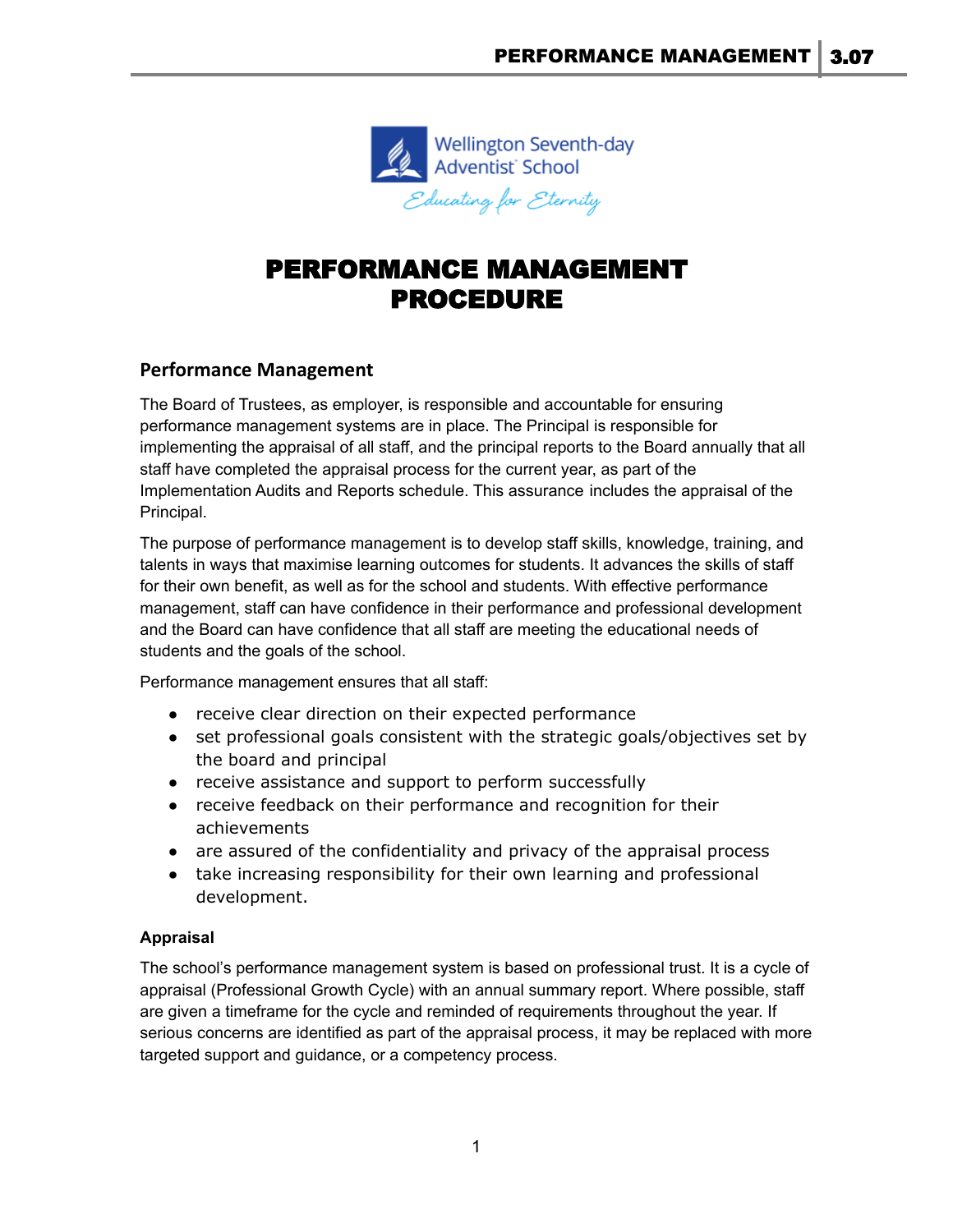

# PERFORMANCE MANAGEMENT PROCEDURE

## **Performance Management**

The Board of Trustees, as employer, is responsible and accountable for ensuring performance management systems are in place. The Principal is responsible for implementing the appraisal of all staff, and the principal reports to the Board annually that all staff have completed the [appraisal process](https://demo.schooldocs.co.nz/9089.htm) for the current year, as part of the Implementation Audits and Reports schedule. This assurance includes the appraisal of the Principal.

The purpose of performance management is to develop staff skills, knowledge, training, and talents in ways that maximise learning outcomes for students. It advances the skills of staff for their own benefit, as well as for the school and students. With effective performance management, staff can have confidence in their performance and professional development and the Board can have confidence that all staff are meeting the educational needs of students and the goals of the school.

Performance management ensures that all staff:

- receive clear direction on their expected performance
- set professional goals consistent with the strategic goals/objectives set by the board and principal
- receive assistance and support to perform successfully
- receive feedback on their performance and recognition for their achievements
- are assured of the confidentiality and privacy of the [appraisal process](https://demo.schooldocs.co.nz/9089.htm)
- take increasing responsibility for their own learning and professional development.

### **Appraisal**

The school's performance management system is based on professional trust. It is a cycle of [appraisal](https://demo.schooldocs.co.nz/9089.htm) (Professional Growth Cycle) with an annual summary report. Where possible, staff are given a timeframe for the cycle and reminded of requirements throughout the year. If serious concerns are identified as part of the appraisal process, it may be replaced with more targeted support and guidance, or a competency process.